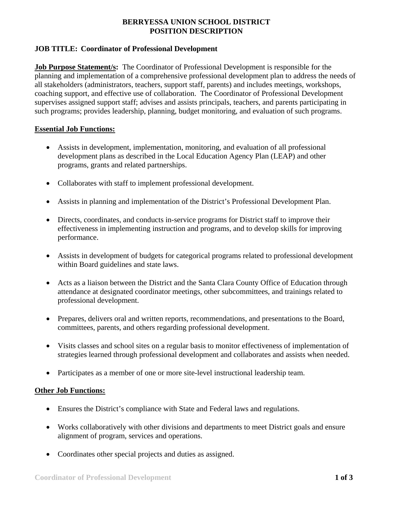# **BERRYESSA UNION SCHOOL DISTRICT POSITION DESCRIPTION**

# **JOB TITLE: Coordinator of Professional Development**

**Job Purpose Statement/s:** The Coordinator of Professional Development is responsible for the planning and implementation of a comprehensive professional development plan to address the needs of all stakeholders (administrators, teachers, support staff, parents) and includes meetings, workshops, coaching support, and effective use of collaboration. The Coordinator of Professional Development supervises assigned support staff; advises and assists principals, teachers, and parents participating in such programs; provides leadership, planning, budget monitoring, and evaluation of such programs.

### **Essential Job Functions:**

- Assists in development, implementation, monitoring, and evaluation of all professional development plans as described in the Local Education Agency Plan (LEAP) and other programs, grants and related partnerships.
- Collaborates with staff to implement professional development.
- Assists in planning and implementation of the District's Professional Development Plan.
- Directs, coordinates, and conducts in-service programs for District staff to improve their effectiveness in implementing instruction and programs, and to develop skills for improving performance.
- Assists in development of budgets for categorical programs related to professional development within Board guidelines and state laws.
- Acts as a liaison between the District and the Santa Clara County Office of Education through attendance at designated coordinator meetings, other subcommittees, and trainings related to professional development.
- Prepares, delivers oral and written reports, recommendations, and presentations to the Board, committees, parents, and others regarding professional development.
- Visits classes and school sites on a regular basis to monitor effectiveness of implementation of strategies learned through professional development and collaborates and assists when needed.
- Participates as a member of one or more site-level instructional leadership team.

### **Other Job Functions:**

- Ensures the District's compliance with State and Federal laws and regulations.
- Works collaboratively with other divisions and departments to meet District goals and ensure alignment of program, services and operations.
- Coordinates other special projects and duties as assigned.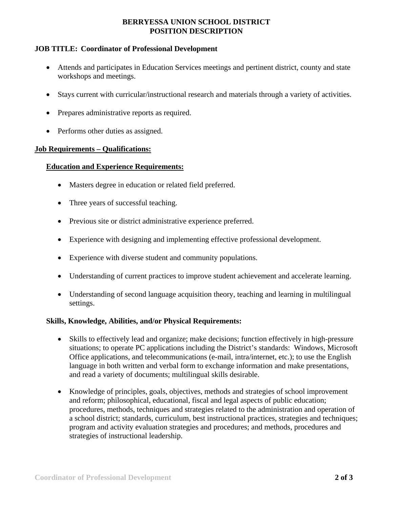# **BERRYESSA UNION SCHOOL DISTRICT POSITION DESCRIPTION**

## **JOB TITLE: Coordinator of Professional Development**

- Attends and participates in Education Services meetings and pertinent district, county and state workshops and meetings.
- Stays current with curricular/instructional research and materials through a variety of activities.
- Prepares administrative reports as required.
- Performs other duties as assigned.

#### **Job Requirements – Qualifications:**

## **Education and Experience Requirements:**

- Masters degree in education or related field preferred.
- Three years of successful teaching.
- Previous site or district administrative experience preferred.
- Experience with designing and implementing effective professional development.
- Experience with diverse student and community populations.
- Understanding of current practices to improve student achievement and accelerate learning.
- Understanding of second language acquisition theory, teaching and learning in multilingual settings.

### **Skills, Knowledge, Abilities, and/or Physical Requirements:**

- Skills to effectively lead and organize; make decisions; function effectively in high-pressure situations; to operate PC applications including the District's standards: Windows, Microsoft Office applications, and telecommunications (e-mail, intra/internet, etc.); to use the English language in both written and verbal form to exchange information and make presentations, and read a variety of documents; multilingual skills desirable.
- Knowledge of principles, goals, objectives, methods and strategies of school improvement and reform; philosophical, educational, fiscal and legal aspects of public education; procedures, methods, techniques and strategies related to the administration and operation of a school district; standards, curriculum, best instructional practices, strategies and techniques; program and activity evaluation strategies and procedures; and methods, procedures and strategies of instructional leadership.